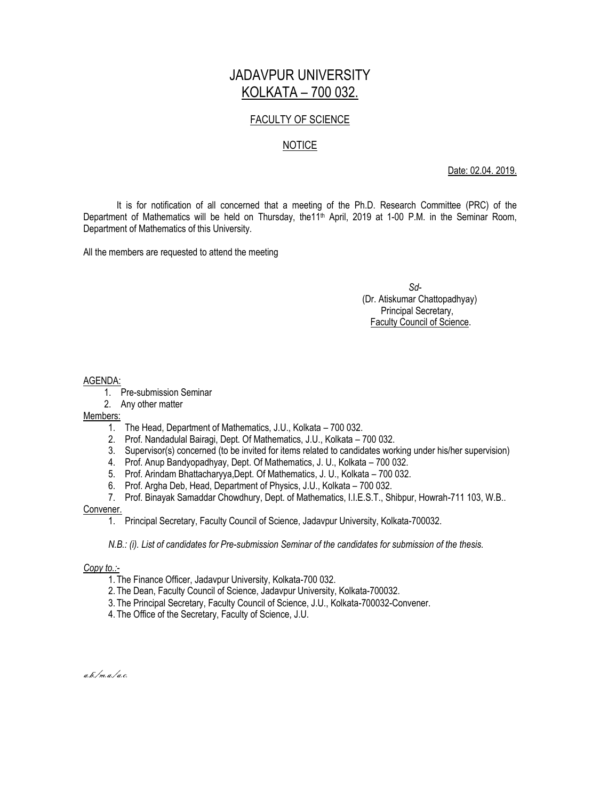## JADAVPUR UNIVERSITY KOLKATA – 700 032.

## FACULTY OF SCIENCE

### NOTICE

Date: 02.04. 2019.

It is for notification of all concerned that a meeting of the Ph.D. Research Committee (PRC) of the Department of Mathematics will be held on Thursday, the11<sup>th</sup> April, 2019 at 1-00 P.M. in the Seminar Room, Department of Mathematics of this University.

All the members are requested to attend the meeting

 *Sd-* (Dr. Atiskumar Chattopadhyay) Principal Secretary, Faculty Council of Science.

#### AGENDA:

- 1. Pre-submission Seminar
- 2. Any other matter

#### Members:

- 1. The Head, Department of Mathematics, J.U., Kolkata 700 032.
- 2. Prof. Nandadulal Bairagi, Dept. Of Mathematics, J.U., Kolkata 700 032.
- 3. Supervisor(s) concerned (to be invited for items related to candidates working under his/her supervision)
- 4. Prof. Anup Bandyopadhyay, Dept. Of Mathematics, J. U., Kolkata 700 032.
- 5. Prof. Arindam Bhattacharyya,Dept. Of Mathematics, J. U., Kolkata 700 032.
- 6. Prof. Argha Deb, Head, Department of Physics, J.U., Kolkata 700 032.
- 7. Prof. Binayak Samaddar Chowdhury, Dept. of Mathematics, I.I.E.S.T., Shibpur, Howrah-711 103, W.B..

#### Convener.

1. Principal Secretary, Faculty Council of Science, Jadavpur University, Kolkata-700032.

*N.B.: (i). List of candidates for Pre-submission Seminar of the candidates for submission of the thesis.*

#### *Copy to.:-*

- 1. The Finance Officer, Jadavpur University, Kolkata-700 032.
- 2. The Dean, Faculty Council of Science, Jadavpur University, Kolkata-700032.
- 3. The Principal Secretary, Faculty Council of Science, J.U., Kolkata-700032-Convener.
- 4. The Office of the Secretary, Faculty of Science, J.U.

a.b./m.a./a.c.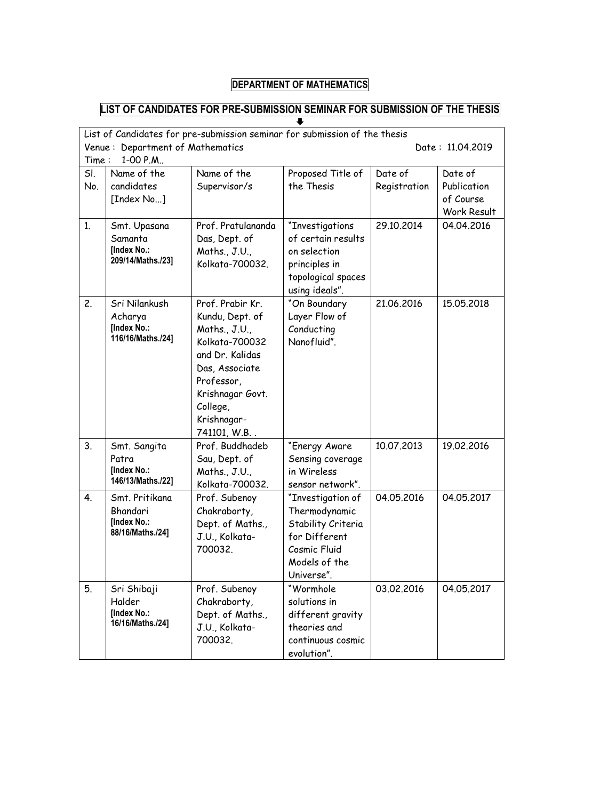# **DEPARTMENT OF MATHEMATICS**

## **LIST OF CANDIDATES FOR PRE-SUBMISSION SEMINAR FOR SUBMISSION OF THE THESIS**

| List of Candidates for pre-submission seminar for submission of the thesis<br>Department of Mathematics<br>Venue:<br>Date: 11.04.2019<br>1-00 P.M<br>Time: |                                                               |                                                                                                                                                                                         |                                                                                                                          |                         |                                                    |  |  |  |
|------------------------------------------------------------------------------------------------------------------------------------------------------------|---------------------------------------------------------------|-----------------------------------------------------------------------------------------------------------------------------------------------------------------------------------------|--------------------------------------------------------------------------------------------------------------------------|-------------------------|----------------------------------------------------|--|--|--|
| SI.<br>No.                                                                                                                                                 | Name of the<br>candidates<br>[Index No]                       | Name of the<br>Supervisor/s                                                                                                                                                             | Proposed Title of<br>the Thesis                                                                                          | Date of<br>Registration | Date of<br>Publication<br>of Course<br>Work Result |  |  |  |
| 1.                                                                                                                                                         | Smt. Upasana<br>Samanta<br>[Index No.:<br>209/14/Maths./23]   | Prof. Pratulananda<br>Das, Dept. of<br>Maths., J.U.,<br>Kolkata-700032.                                                                                                                 | "Investigations<br>of certain results<br>on selection<br>principles in<br>topological spaces<br>using ideals".           | 29.10.2014              | 04.04.2016                                         |  |  |  |
| 2.                                                                                                                                                         | Sri Nilankush<br>Acharya<br>[Index No.:<br>116/16/Maths./24]  | Prof. Prabir Kr.<br>Kundu, Dept. of<br>Maths., J.U.,<br>Kolkata-700032<br>and Dr. Kalidas<br>Das, Associate<br>Professor,<br>Krishnagar Govt.<br>College,<br>Krishnagar-<br>741101, W.B | "On Boundary<br>Layer Flow of<br>Conducting<br>Nanofluid".                                                               | 21.06.2016              | 15.05.2018                                         |  |  |  |
| 3.                                                                                                                                                         | Smt. Sangita<br>Patra<br>[Index No.:<br>146/13/Maths./22]     | Prof. Buddhadeb<br>Sau, Dept. of<br>Maths., J.U.,<br>Kolkata-700032.                                                                                                                    | "Energy Aware<br>Sensing coverage<br>in Wireless<br>sensor network".                                                     | 10.07.2013              | 19.02.2016                                         |  |  |  |
| 4.                                                                                                                                                         | Smt. Pritikana<br>Bhandari<br>[Index No.:<br>88/16/Maths./24] | Prof. Subenoy<br>Chakraborty,<br>Dept. of Maths.,<br>J.U., Kolkata-<br>700032.                                                                                                          | "Investigation of<br>Thermodynamic<br>Stability Criteria<br>for Different<br>Cosmic Fluid<br>Models of the<br>Universe". | 04.05.2016              | 04.05.2017                                         |  |  |  |
| 5.                                                                                                                                                         | Sri Shibaji<br>Halder<br>[Index No.:<br>16/16/Maths./24]      | Prof. Subenoy<br>Chakraborty,<br>Dept. of Maths.,<br>J.U., Kolkata-<br>700032.                                                                                                          | "Wormhole<br>solutions in<br>different gravity<br>theories and<br>continuous cosmic<br>evolution".                       | 03.02.2016              | 04.05.2017                                         |  |  |  |